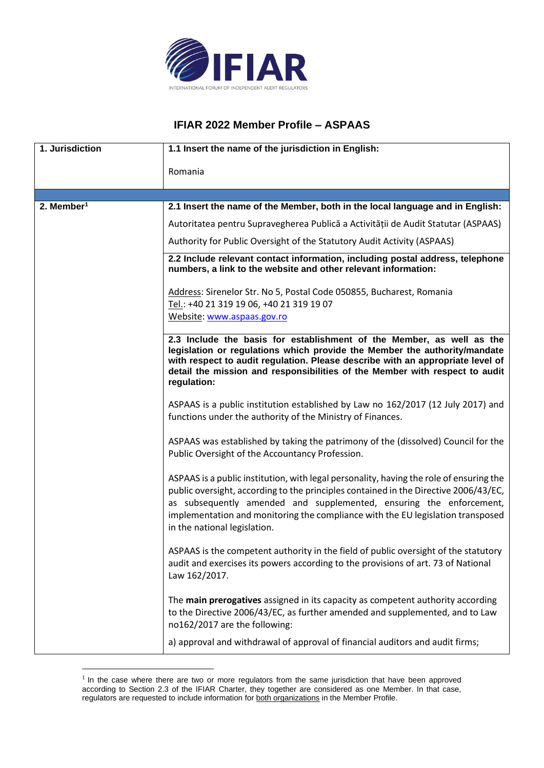

## **IFIAR 2022 Member Profile – ASPAAS**

| 1. Jurisdiction | 1.1 Insert the name of the jurisdiction in English:                                                                                                                                                                                                                                                                                                                       |
|-----------------|---------------------------------------------------------------------------------------------------------------------------------------------------------------------------------------------------------------------------------------------------------------------------------------------------------------------------------------------------------------------------|
|                 | Romania                                                                                                                                                                                                                                                                                                                                                                   |
|                 |                                                                                                                                                                                                                                                                                                                                                                           |
| 2. Member $1$   | 2.1 Insert the name of the Member, both in the local language and in English:                                                                                                                                                                                                                                                                                             |
|                 | Autoritatea pentru Supravegherea Publică a Activității de Audit Statutar (ASPAAS)                                                                                                                                                                                                                                                                                         |
|                 | Authority for Public Oversight of the Statutory Audit Activity (ASPAAS)                                                                                                                                                                                                                                                                                                   |
|                 | 2.2 Include relevant contact information, including postal address, telephone<br>numbers, a link to the website and other relevant information:                                                                                                                                                                                                                           |
|                 | Address: Sirenelor Str. No 5, Postal Code 050855, Bucharest, Romania<br>Tel.: +40 21 319 19 06, +40 21 319 19 07<br>Website: www.aspaas.gov.ro                                                                                                                                                                                                                            |
|                 | 2.3 Include the basis for establishment of the Member, as well as the<br>legislation or regulations which provide the Member the authority/mandate<br>with respect to audit regulation. Please describe with an appropriate level of<br>detail the mission and responsibilities of the Member with respect to audit<br>regulation:                                        |
|                 | ASPAAS is a public institution established by Law no 162/2017 (12 July 2017) and<br>functions under the authority of the Ministry of Finances.                                                                                                                                                                                                                            |
|                 | ASPAAS was established by taking the patrimony of the (dissolved) Council for the<br>Public Oversight of the Accountancy Profession.                                                                                                                                                                                                                                      |
|                 | ASPAAS is a public institution, with legal personality, having the role of ensuring the<br>public oversight, according to the principles contained in the Directive 2006/43/EC,<br>as subsequently amended and supplemented, ensuring the enforcement,<br>implementation and monitoring the compliance with the EU legislation transposed<br>in the national legislation. |
|                 | ASPAAS is the competent authority in the field of public oversight of the statutory<br>audit and exercises its powers according to the provisions of art. 73 of National<br>Law 162/2017.                                                                                                                                                                                 |
|                 | The main prerogatives assigned in its capacity as competent authority according<br>to the Directive 2006/43/EC, as further amended and supplemented, and to Law<br>no162/2017 are the following:                                                                                                                                                                          |
|                 | a) approval and withdrawal of approval of financial auditors and audit firms;                                                                                                                                                                                                                                                                                             |

 $<sup>1</sup>$  In the case where there are two or more regulators from the same jurisdiction that have been approved</sup> according to Section 2.3 of the IFIAR Charter, they together are considered as one Member. In that case, regulators are requested to include information for both organizations in the Member Profile.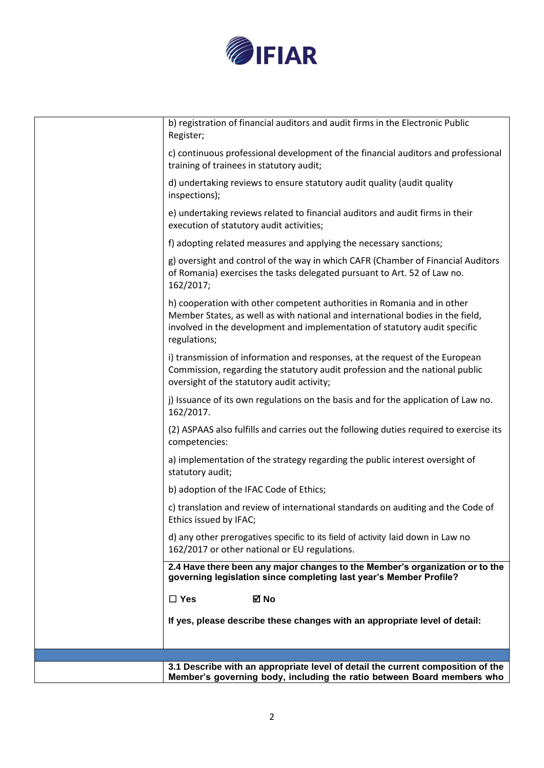

| b) registration of financial auditors and audit firms in the Electronic Public<br>Register;                                                                                                                                                             |
|---------------------------------------------------------------------------------------------------------------------------------------------------------------------------------------------------------------------------------------------------------|
| c) continuous professional development of the financial auditors and professional<br>training of trainees in statutory audit;                                                                                                                           |
| d) undertaking reviews to ensure statutory audit quality (audit quality<br>inspections);                                                                                                                                                                |
| e) undertaking reviews related to financial auditors and audit firms in their<br>execution of statutory audit activities;                                                                                                                               |
| f) adopting related measures and applying the necessary sanctions;                                                                                                                                                                                      |
| g) oversight and control of the way in which CAFR (Chamber of Financial Auditors<br>of Romania) exercises the tasks delegated pursuant to Art. 52 of Law no.<br>162/2017;                                                                               |
| h) cooperation with other competent authorities in Romania and in other<br>Member States, as well as with national and international bodies in the field,<br>involved in the development and implementation of statutory audit specific<br>regulations; |
| i) transmission of information and responses, at the request of the European<br>Commission, regarding the statutory audit profession and the national public<br>oversight of the statutory audit activity;                                              |
| j) Issuance of its own regulations on the basis and for the application of Law no.<br>162/2017.                                                                                                                                                         |
| (2) ASPAAS also fulfills and carries out the following duties required to exercise its<br>competencies:                                                                                                                                                 |
| a) implementation of the strategy regarding the public interest oversight of<br>statutory audit;                                                                                                                                                        |
| b) adoption of the IFAC Code of Ethics;                                                                                                                                                                                                                 |
| c) translation and review of international standards on auditing and the Code of<br>Ethics issued by IFAC;                                                                                                                                              |
| d) any other prerogatives specific to its field of activity laid down in Law no<br>162/2017 or other national or EU regulations.                                                                                                                        |
| 2.4 Have there been any major changes to the Member's organization or to the<br>governing legislation since completing last year's Member Profile?                                                                                                      |
| $\Box$ Yes<br>⊠ No                                                                                                                                                                                                                                      |
| If yes, please describe these changes with an appropriate level of detail:                                                                                                                                                                              |
|                                                                                                                                                                                                                                                         |
| 3.1 Describe with an appropriate level of detail the current composition of the                                                                                                                                                                         |
| Member's governing body, including the ratio between Board members who                                                                                                                                                                                  |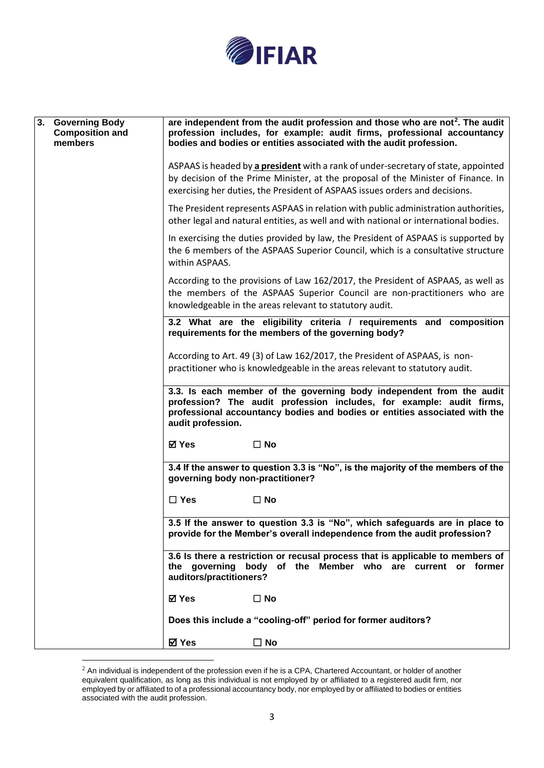

| 3. Governing Body<br><b>Composition and</b><br>members | are independent from the audit profession and those who are not <sup>2</sup> . The audit<br>profession includes, for example: audit firms, professional accountancy<br>bodies and bodies or entities associated with the audit profession.             |
|--------------------------------------------------------|--------------------------------------------------------------------------------------------------------------------------------------------------------------------------------------------------------------------------------------------------------|
|                                                        | ASPAAS is headed by a president with a rank of under-secretary of state, appointed<br>by decision of the Prime Minister, at the proposal of the Minister of Finance. In<br>exercising her duties, the President of ASPAAS issues orders and decisions. |
|                                                        | The President represents ASPAAS in relation with public administration authorities,<br>other legal and natural entities, as well and with national or international bodies.                                                                            |
|                                                        | In exercising the duties provided by law, the President of ASPAAS is supported by<br>the 6 members of the ASPAAS Superior Council, which is a consultative structure<br>within ASPAAS.                                                                 |
|                                                        | According to the provisions of Law 162/2017, the President of ASPAAS, as well as<br>the members of the ASPAAS Superior Council are non-practitioners who are<br>knowledgeable in the areas relevant to statutory audit.                                |
|                                                        | 3.2 What are the eligibility criteria / requirements and composition<br>requirements for the members of the governing body?                                                                                                                            |
|                                                        | According to Art. 49 (3) of Law 162/2017, the President of ASPAAS, is non-<br>practitioner who is knowledgeable in the areas relevant to statutory audit.                                                                                              |
|                                                        | 3.3. Is each member of the governing body independent from the audit<br>profession? The audit profession includes, for example: audit firms,<br>professional accountancy bodies and bodies or entities associated with the<br>audit profession.        |
|                                                        | <b>⊠</b> Yes<br>$\square$ No                                                                                                                                                                                                                           |
|                                                        | 3.4 If the answer to question 3.3 is "No", is the majority of the members of the<br>governing body non-practitioner?                                                                                                                                   |
|                                                        | $\square$ Yes<br>$\Box$ No                                                                                                                                                                                                                             |
|                                                        | 3.5 If the answer to question 3.3 is "No", which safeguards are in place to<br>provide for the Member's overall independence from the audit profession?                                                                                                |
|                                                        | 3.6 Is there a restriction or recusal process that is applicable to members of<br>the governing body of the Member who are current or former<br>auditors/practitioners?                                                                                |
|                                                        | ⊠ Yes<br>$\square$ No                                                                                                                                                                                                                                  |
|                                                        | Does this include a "cooling-off" period for former auditors?                                                                                                                                                                                          |
|                                                        | <b>⊠</b> Yes<br>$\square$ No                                                                                                                                                                                                                           |

 $^2$  An individual is independent of the profession even if he is a CPA, Chartered Accountant, or holder of another equivalent qualification, as long as this individual is not employed by or affiliated to a registered audit firm, nor employed by or affiliated to of a professional accountancy body, nor employed by or affiliated to bodies or entities associated with the audit profession.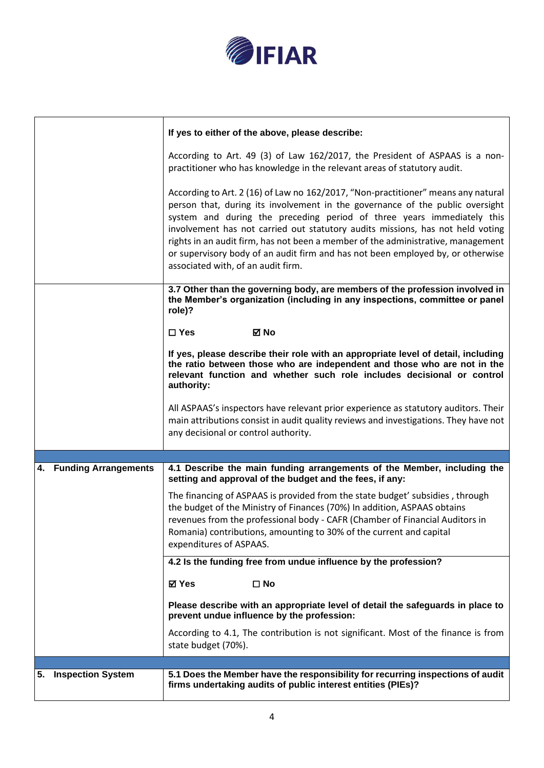

|                                   | If yes to either of the above, please describe:                                                                                                                                                                                                                                                                                                                                                                                                                                                                                             |
|-----------------------------------|---------------------------------------------------------------------------------------------------------------------------------------------------------------------------------------------------------------------------------------------------------------------------------------------------------------------------------------------------------------------------------------------------------------------------------------------------------------------------------------------------------------------------------------------|
|                                   | According to Art. 49 (3) of Law 162/2017, the President of ASPAAS is a non-<br>practitioner who has knowledge in the relevant areas of statutory audit.                                                                                                                                                                                                                                                                                                                                                                                     |
|                                   | According to Art. 2 (16) of Law no 162/2017, "Non-practitioner" means any natural<br>person that, during its involvement in the governance of the public oversight<br>system and during the preceding period of three years immediately this<br>involvement has not carried out statutory audits missions, has not held voting<br>rights in an audit firm, has not been a member of the administrative, management<br>or supervisory body of an audit firm and has not been employed by, or otherwise<br>associated with, of an audit firm. |
|                                   | 3.7 Other than the governing body, are members of the profession involved in<br>the Member's organization (including in any inspections, committee or panel<br>role)?                                                                                                                                                                                                                                                                                                                                                                       |
|                                   | $\square$ Yes<br>☑ No                                                                                                                                                                                                                                                                                                                                                                                                                                                                                                                       |
|                                   | If yes, please describe their role with an appropriate level of detail, including<br>the ratio between those who are independent and those who are not in the<br>relevant function and whether such role includes decisional or control<br>authority:                                                                                                                                                                                                                                                                                       |
|                                   | All ASPAAS's inspectors have relevant prior experience as statutory auditors. Their<br>main attributions consist in audit quality reviews and investigations. They have not<br>any decisional or control authority.                                                                                                                                                                                                                                                                                                                         |
|                                   |                                                                                                                                                                                                                                                                                                                                                                                                                                                                                                                                             |
| <b>Funding Arrangements</b><br>4. | 4.1 Describe the main funding arrangements of the Member, including the<br>setting and approval of the budget and the fees, if any:                                                                                                                                                                                                                                                                                                                                                                                                         |
|                                   | The financing of ASPAAS is provided from the state budget' subsidies, through<br>the budget of the Ministry of Finances (70%) In addition, ASPAAS obtains<br>revenues from the professional body - CAFR (Chamber of Financial Auditors in<br>Romania) contributions, amounting to 30% of the current and capital<br>expenditures of ASPAAS.                                                                                                                                                                                                 |
|                                   | 4.2 Is the funding free from undue influence by the profession?                                                                                                                                                                                                                                                                                                                                                                                                                                                                             |
|                                   | <b>⊠</b> Yes<br>$\square$ No                                                                                                                                                                                                                                                                                                                                                                                                                                                                                                                |
|                                   | Please describe with an appropriate level of detail the safeguards in place to<br>prevent undue influence by the profession:                                                                                                                                                                                                                                                                                                                                                                                                                |
|                                   | According to 4.1, The contribution is not significant. Most of the finance is from<br>state budget (70%).                                                                                                                                                                                                                                                                                                                                                                                                                                   |
|                                   |                                                                                                                                                                                                                                                                                                                                                                                                                                                                                                                                             |
| 5. Inspection System              | 5.1 Does the Member have the responsibility for recurring inspections of audit<br>firms undertaking audits of public interest entities (PIEs)?                                                                                                                                                                                                                                                                                                                                                                                              |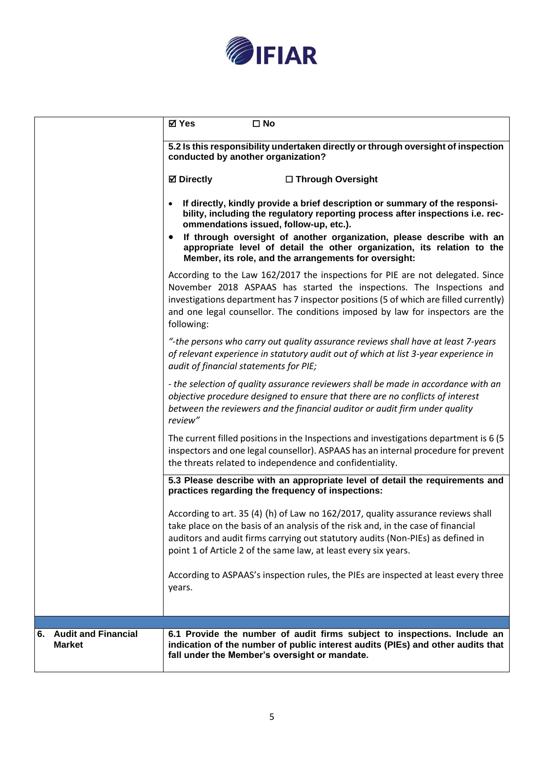

|                                                   | ⊠ Yes<br>$\square$ No                                                                                                                                                                                                                                                                                                                            |
|---------------------------------------------------|--------------------------------------------------------------------------------------------------------------------------------------------------------------------------------------------------------------------------------------------------------------------------------------------------------------------------------------------------|
|                                                   | 5.2 Is this responsibility undertaken directly or through oversight of inspection<br>conducted by another organization?                                                                                                                                                                                                                          |
|                                                   | <b>Ø</b> Directly<br>□ Through Oversight                                                                                                                                                                                                                                                                                                         |
|                                                   | If directly, kindly provide a brief description or summary of the responsi-<br>bility, including the regulatory reporting process after inspections i.e. rec-<br>ommendations issued, follow-up, etc.).                                                                                                                                          |
|                                                   | If through oversight of another organization, please describe with an<br>appropriate level of detail the other organization, its relation to the<br>Member, its role, and the arrangements for oversight:                                                                                                                                        |
|                                                   | According to the Law 162/2017 the inspections for PIE are not delegated. Since<br>November 2018 ASPAAS has started the inspections. The Inspections and<br>investigations department has 7 inspector positions (5 of which are filled currently)<br>and one legal counsellor. The conditions imposed by law for inspectors are the<br>following: |
|                                                   | "-the persons who carry out quality assurance reviews shall have at least 7-years<br>of relevant experience in statutory audit out of which at list 3-year experience in<br>audit of financial statements for PIE;                                                                                                                               |
|                                                   | - the selection of quality assurance reviewers shall be made in accordance with an<br>objective procedure designed to ensure that there are no conflicts of interest<br>between the reviewers and the financial auditor or audit firm under quality<br>review"                                                                                   |
|                                                   | The current filled positions in the Inspections and investigations department is 6 (5)<br>inspectors and one legal counsellor). ASPAAS has an internal procedure for prevent<br>the threats related to independence and confidentiality.                                                                                                         |
|                                                   | 5.3 Please describe with an appropriate level of detail the requirements and<br>practices regarding the frequency of inspections:                                                                                                                                                                                                                |
|                                                   | According to art. 35 (4) (h) of Law no 162/2017, quality assurance reviews shall<br>take place on the basis of an analysis of the risk and, in the case of financial<br>auditors and audit firms carrying out statutory audits (Non-PIEs) as defined in<br>point 1 of Article 2 of the same law, at least every six years.                       |
|                                                   | According to ASPAAS's inspection rules, the PIEs are inspected at least every three<br>years.                                                                                                                                                                                                                                                    |
|                                                   |                                                                                                                                                                                                                                                                                                                                                  |
| <b>Audit and Financial</b><br>6.<br><b>Market</b> | 6.1 Provide the number of audit firms subject to inspections. Include an<br>indication of the number of public interest audits (PIEs) and other audits that<br>fall under the Member's oversight or mandate.                                                                                                                                     |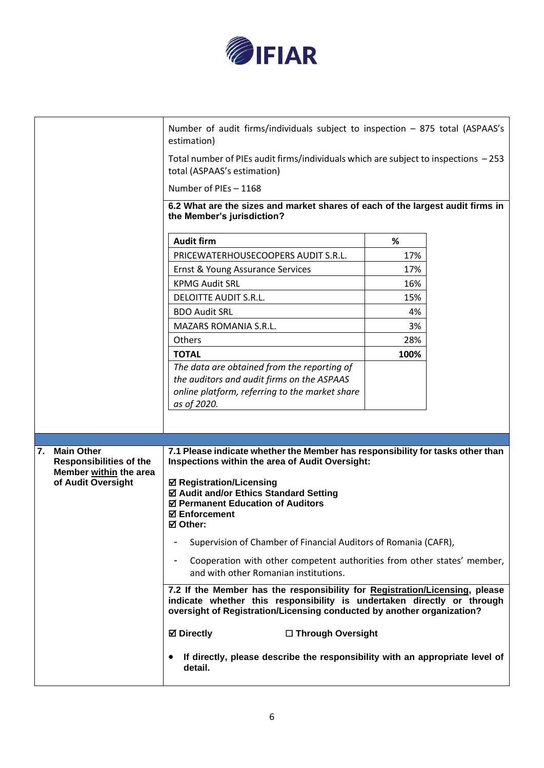

|                                | Number of audit firms/individuals subject to inspection - 875 total (ASPAAS's<br>estimation)                                                                                                                                    |      |  |
|--------------------------------|---------------------------------------------------------------------------------------------------------------------------------------------------------------------------------------------------------------------------------|------|--|
|                                | Total number of PIEs audit firms/individuals which are subject to inspections - 253<br>total (ASPAAS's estimation)                                                                                                              |      |  |
|                                | Number of PIEs - 1168                                                                                                                                                                                                           |      |  |
|                                | 6.2 What are the sizes and market shares of each of the largest audit firms in                                                                                                                                                  |      |  |
|                                | the Member's jurisdiction?                                                                                                                                                                                                      |      |  |
|                                | <b>Audit firm</b>                                                                                                                                                                                                               | %    |  |
|                                | PRICEWATERHOUSECOOPERS AUDIT S.R.L.                                                                                                                                                                                             | 17%  |  |
|                                | Ernst & Young Assurance Services                                                                                                                                                                                                | 17%  |  |
|                                | <b>KPMG Audit SRL</b>                                                                                                                                                                                                           | 16%  |  |
|                                | <b>DELOITTE AUDIT S.R.L.</b>                                                                                                                                                                                                    | 15%  |  |
|                                | <b>BDO Audit SRL</b>                                                                                                                                                                                                            | 4%   |  |
|                                | <b>MAZARS ROMANIA S.R.L.</b>                                                                                                                                                                                                    | 3%   |  |
|                                | Others                                                                                                                                                                                                                          | 28%  |  |
|                                | <b>TOTAL</b>                                                                                                                                                                                                                    | 100% |  |
|                                | The data are obtained from the reporting of                                                                                                                                                                                     |      |  |
|                                | the auditors and audit firms on the ASPAAS<br>online platform, referring to the market share                                                                                                                                    |      |  |
|                                | as of 2020.                                                                                                                                                                                                                     |      |  |
|                                |                                                                                                                                                                                                                                 |      |  |
|                                |                                                                                                                                                                                                                                 |      |  |
| <b>Main Other</b><br>7.        | 7.1 Please indicate whether the Member has responsibility for tasks other than                                                                                                                                                  |      |  |
| <b>Responsibilities of the</b> | <b>Inspections within the area of Audit Oversight:</b>                                                                                                                                                                          |      |  |
| Member within the area         | ☑ Registration/Licensing                                                                                                                                                                                                        |      |  |
| of Audit Oversight             | ☑ Audit and/or Ethics Standard Setting                                                                                                                                                                                          |      |  |
|                                | ☑ Permanent Education of Auditors                                                                                                                                                                                               |      |  |
|                                | <b>☑ Enforcement</b><br>☑ Other:                                                                                                                                                                                                |      |  |
|                                | Supervision of Chamber of Financial Auditors of Romania (CAFR),                                                                                                                                                                 |      |  |
|                                |                                                                                                                                                                                                                                 |      |  |
|                                | Cooperation with other competent authorities from other states' member,<br>$\blacksquare$<br>and with other Romanian institutions.                                                                                              |      |  |
|                                | 7.2 If the Member has the responsibility for Registration/Licensing, please<br>indicate whether this responsibility is undertaken directly or through<br>oversight of Registration/Licensing conducted by another organization? |      |  |
|                                | <b>⊠</b> Directly<br>□ Through Oversight                                                                                                                                                                                        |      |  |
|                                | If directly, please describe the responsibility with an appropriate level of<br>٠<br>detail.                                                                                                                                    |      |  |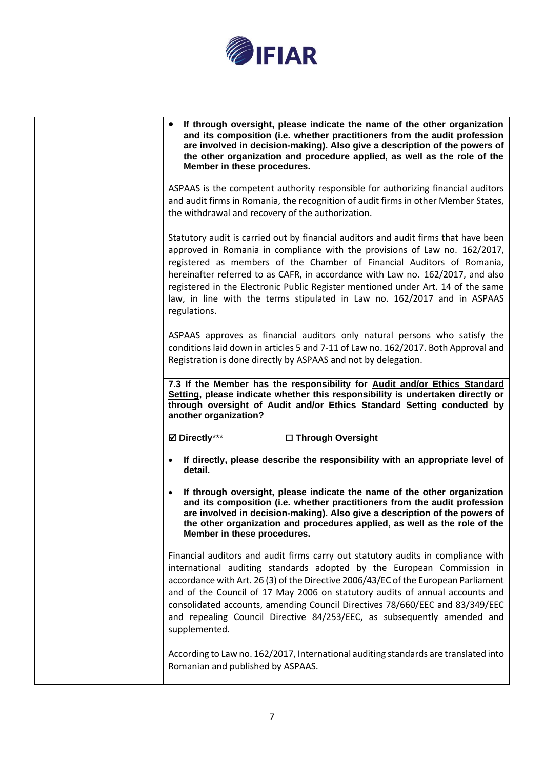

| If through oversight, please indicate the name of the other organization<br>$\bullet$<br>and its composition (i.e. whether practitioners from the audit profession<br>are involved in decision-making). Also give a description of the powers of<br>the other organization and procedure applied, as well as the role of the<br>Member in these procedures.                                                                                                                                                   |
|---------------------------------------------------------------------------------------------------------------------------------------------------------------------------------------------------------------------------------------------------------------------------------------------------------------------------------------------------------------------------------------------------------------------------------------------------------------------------------------------------------------|
| ASPAAS is the competent authority responsible for authorizing financial auditors<br>and audit firms in Romania, the recognition of audit firms in other Member States,<br>the withdrawal and recovery of the authorization.                                                                                                                                                                                                                                                                                   |
| Statutory audit is carried out by financial auditors and audit firms that have been<br>approved in Romania in compliance with the provisions of Law no. 162/2017,<br>registered as members of the Chamber of Financial Auditors of Romania,<br>hereinafter referred to as CAFR, in accordance with Law no. 162/2017, and also<br>registered in the Electronic Public Register mentioned under Art. 14 of the same<br>law, in line with the terms stipulated in Law no. 162/2017 and in ASPAAS<br>regulations. |
| ASPAAS approves as financial auditors only natural persons who satisfy the<br>conditions laid down in articles 5 and 7-11 of Law no. 162/2017. Both Approval and<br>Registration is done directly by ASPAAS and not by delegation.                                                                                                                                                                                                                                                                            |
| 7.3 If the Member has the responsibility for Audit and/or Ethics Standard<br>Setting, please indicate whether this responsibility is undertaken directly or<br>through oversight of Audit and/or Ethics Standard Setting conducted by<br>another organization?                                                                                                                                                                                                                                                |
| ☑ Directly***<br>□ Through Oversight                                                                                                                                                                                                                                                                                                                                                                                                                                                                          |
| If directly, please describe the responsibility with an appropriate level of<br>detail.                                                                                                                                                                                                                                                                                                                                                                                                                       |
| If through oversight, please indicate the name of the other organization<br>and its composition (i.e. whether practitioners from the audit profession<br>are involved in decision-making). Also give a description of the powers of<br>the other organization and procedures applied, as well as the role of the<br>Member in these procedures.                                                                                                                                                               |
| Financial auditors and audit firms carry out statutory audits in compliance with<br>international auditing standards adopted by the European Commission in<br>accordance with Art. 26 (3) of the Directive 2006/43/EC of the European Parliament<br>and of the Council of 17 May 2006 on statutory audits of annual accounts and<br>consolidated accounts, amending Council Directives 78/660/EEC and 83/349/EEC<br>and repealing Council Directive 84/253/EEC, as subsequently amended and<br>supplemented.  |
| According to Law no. 162/2017, International auditing standards are translated into<br>Romanian and published by ASPAAS.                                                                                                                                                                                                                                                                                                                                                                                      |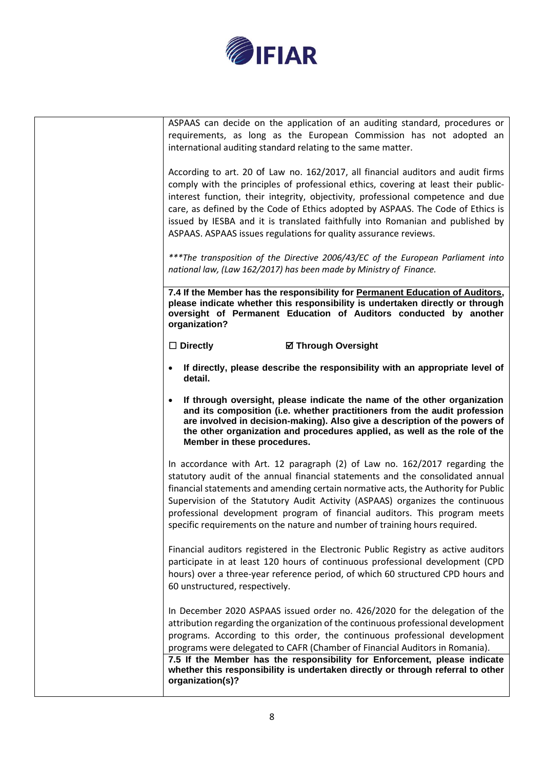

|                                          | ASPAAS can decide on the application of an auditing standard, procedures or<br>requirements, as long as the European Commission has not adopted an<br>international auditing standard relating to the same matter.                                                                                                                                                                                                                                                                                  |
|------------------------------------------|-----------------------------------------------------------------------------------------------------------------------------------------------------------------------------------------------------------------------------------------------------------------------------------------------------------------------------------------------------------------------------------------------------------------------------------------------------------------------------------------------------|
|                                          | According to art. 20 of Law no. 162/2017, all financial auditors and audit firms<br>comply with the principles of professional ethics, covering at least their public-<br>interest function, their integrity, objectivity, professional competence and due<br>care, as defined by the Code of Ethics adopted by ASPAAS. The Code of Ethics is<br>issued by IESBA and it is translated faithfully into Romanian and published by<br>ASPAAS. ASPAAS issues regulations for quality assurance reviews. |
|                                          | ***The transposition of the Directive 2006/43/EC of the European Parliament into<br>national law, (Law 162/2017) has been made by Ministry of Finance.                                                                                                                                                                                                                                                                                                                                              |
| organization?                            | 7.4 If the Member has the responsibility for Permanent Education of Auditors,<br>please indicate whether this responsibility is undertaken directly or through<br>oversight of Permanent Education of Auditors conducted by another                                                                                                                                                                                                                                                                 |
| $\Box$ Directly                          | <b>Ø Through Oversight</b>                                                                                                                                                                                                                                                                                                                                                                                                                                                                          |
| detail.                                  | If directly, please describe the responsibility with an appropriate level of                                                                                                                                                                                                                                                                                                                                                                                                                        |
| $\bullet$<br>Member in these procedures. | If through oversight, please indicate the name of the other organization<br>and its composition (i.e. whether practitioners from the audit profession<br>are involved in decision-making). Also give a description of the powers of<br>the other organization and procedures applied, as well as the role of the                                                                                                                                                                                    |
|                                          | In accordance with Art. 12 paragraph (2) of Law no. 162/2017 regarding the<br>statutory audit of the annual financial statements and the consolidated annual<br>financial statements and amending certain normative acts, the Authority for Public<br>Supervision of the Statutory Audit Activity (ASPAAS) organizes the continuous<br>professional development program of financial auditors. This program meets<br>specific requirements on the nature and number of training hours required.     |
| 60 unstructured, respectively.           | Financial auditors registered in the Electronic Public Registry as active auditors<br>participate in at least 120 hours of continuous professional development (CPD<br>hours) over a three-year reference period, of which 60 structured CPD hours and                                                                                                                                                                                                                                              |
|                                          | In December 2020 ASPAAS issued order no. 426/2020 for the delegation of the<br>attribution regarding the organization of the continuous professional development<br>programs. According to this order, the continuous professional development<br>programs were delegated to CAFR (Chamber of Financial Auditors in Romania).                                                                                                                                                                       |
| organization(s)?                         | 7.5 If the Member has the responsibility for Enforcement, please indicate<br>whether this responsibility is undertaken directly or through referral to other                                                                                                                                                                                                                                                                                                                                        |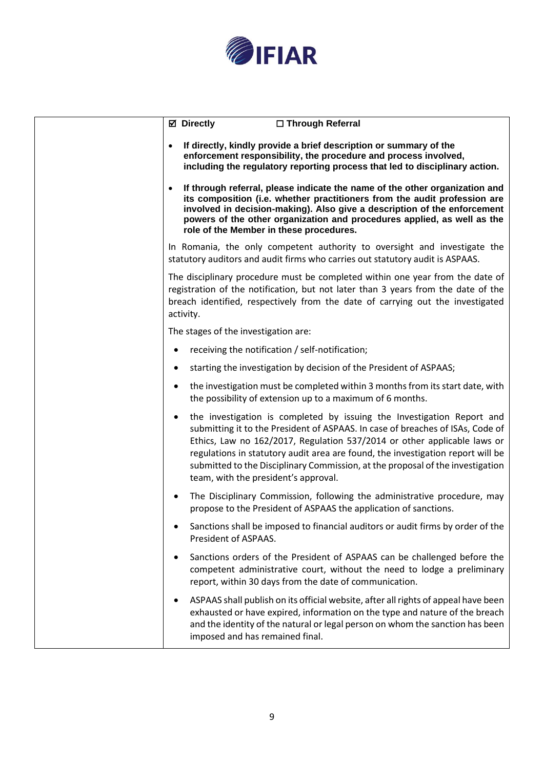

| <b>⊠</b> Directly<br>□ Through Referral                                                                                                                                                                                                                                                                                                                                                                                                           |
|---------------------------------------------------------------------------------------------------------------------------------------------------------------------------------------------------------------------------------------------------------------------------------------------------------------------------------------------------------------------------------------------------------------------------------------------------|
| If directly, kindly provide a brief description or summary of the<br>enforcement responsibility, the procedure and process involved,<br>including the regulatory reporting process that led to disciplinary action.                                                                                                                                                                                                                               |
| If through referral, please indicate the name of the other organization and<br>its composition (i.e. whether practitioners from the audit profession are<br>involved in decision-making). Also give a description of the enforcement<br>powers of the other organization and procedures applied, as well as the<br>role of the Member in these procedures.                                                                                        |
| In Romania, the only competent authority to oversight and investigate the<br>statutory auditors and audit firms who carries out statutory audit is ASPAAS.                                                                                                                                                                                                                                                                                        |
| The disciplinary procedure must be completed within one year from the date of<br>registration of the notification, but not later than 3 years from the date of the<br>breach identified, respectively from the date of carrying out the investigated<br>activity.                                                                                                                                                                                 |
| The stages of the investigation are:                                                                                                                                                                                                                                                                                                                                                                                                              |
| receiving the notification / self-notification;                                                                                                                                                                                                                                                                                                                                                                                                   |
| starting the investigation by decision of the President of ASPAAS;                                                                                                                                                                                                                                                                                                                                                                                |
| the investigation must be completed within 3 months from its start date, with<br>the possibility of extension up to a maximum of 6 months.                                                                                                                                                                                                                                                                                                        |
| the investigation is completed by issuing the Investigation Report and<br>submitting it to the President of ASPAAS. In case of breaches of ISAs, Code of<br>Ethics, Law no 162/2017, Regulation 537/2014 or other applicable laws or<br>regulations in statutory audit area are found, the investigation report will be<br>submitted to the Disciplinary Commission, at the proposal of the investigation<br>team, with the president's approval. |
| The Disciplinary Commission, following the administrative procedure, may<br>propose to the President of ASPAAS the application of sanctions.                                                                                                                                                                                                                                                                                                      |
| Sanctions shall be imposed to financial auditors or audit firms by order of the<br>President of ASPAAS.                                                                                                                                                                                                                                                                                                                                           |
| Sanctions orders of the President of ASPAAS can be challenged before the<br>competent administrative court, without the need to lodge a preliminary<br>report, within 30 days from the date of communication.                                                                                                                                                                                                                                     |
| ASPAAS shall publish on its official website, after all rights of appeal have been<br>exhausted or have expired, information on the type and nature of the breach<br>and the identity of the natural or legal person on whom the sanction has been<br>imposed and has remained final.                                                                                                                                                             |